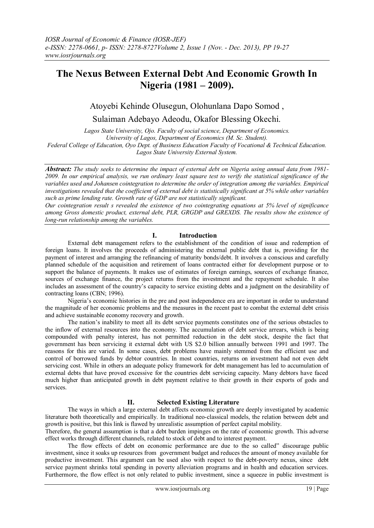# **The Nexus Between External Debt And Economic Growth In Nigeria (1981 – 2009).**

# Atoyebi Kehinde Olusegun, Olohunlana Dapo Somod ,

Sulaiman Adebayo Adeodu, Okafor Blessing Okechi.

*Lagos State University, Ojo. Faculty of social science, Department of Economics. University of Lagos, Department of Economics (M. Sc. Student). Federal College of Education, Oyo Dept. of Business Education Faculty of Vocational & Technical Education. Lagos State University External System.*

*Abstract: The study seeks to determine the impact of external debt on Nigeria using annual data from 1981- 2009. In our empirical analysis, we run ordinary least square test to verify the statistical significance of the variables used and Johansen cointegration to determine the order of integration among the variables. Empirical investigations revealed that the coefficient of external debt is statistically significant at 5% while other variables such as prime lending rate. Growth rate of GDP are not statistically significant.*

*Our cointegration result s revealed the existence of two cointegrating equations at 5% level of significance among Gross domestic product, external debt, PLR, GRGDP and GREXDS. The results show the existence of long-run relationship among the variables.*

# **I. Introduction**

External debt management refers to the establishment of the condition of issue and redemption of foreign loans. It involves the proceeds of administering the external public debt that is, providing for the payment of interest and arranging the refinancing of maturity bonds/debt. It involves a conscious and carefully planned schedule of the acquisition and retirement of loans contracted either for development purpose or to support the balance of payments. It makes use of estimates of foreign earnings, sources of exchange finance, sources of exchange finance, the project returns from the investment and the repayment schedule. It also includes an assessment of the country's capacity to service existing debts and a judgment on the desirability of contracting loans (CBN; 1996).

Nigeria's economic histories in the pre and post independence era are important in order to understand the magnitude of her economic problems and the measures in the recent past to combat the external debt crisis and achieve sustainable economy recovery and growth.

The nation's inability to meet all its debt service payments constitutes one of the serious obstacles to the inflow of external resources into the economy. The accumulation of debt service arrears, which is being compounded with penalty interest, has not permitted reduction in the debt stock, despite the fact that government has been servicing it external debt with US \$2.0 billion annually between 1991 and 1997. The reasons for this are varied. In some cases, debt problems have mainly stemmed from the efficient use and control of borrowed funds by debtor countries. In most countries, returns on investment had not even debt servicing cost. While in others an adequate policy framework for debt management has led to accumulation of external debts that have proved excessive for the countries debt servicing capacity. Many debtors have faced much higher than anticipated growth in debt payment relative to their growth in their exports of gods and services.

# **II. Selected Existing Literature**

The ways in which a large external debt affects economic growth are deeply investigated by academic literature both theoretically and empirically. In traditional neo-classical models, the relation between debt and growth is positive, but this link is flawed by unrealistic assumption of perfect capital mobility.

Therefore, the general assumption is that a debt burden impinges on the rate of economic growth. This adverse effect works through different channels, related to stock of debt and to interest payment.

The flow effects of debt on economic performance are due to the so called" discourage public investment, since it soaks up resources from government budget and reduces the amount of money available for productive investment. This argument can be used also with respect to the debt-poverty nexus, since debt service payment shrinks total spending in poverty alleviation programs and in health and education services. Furthermore, the flow effect is not only related to public investment, since a squeeze in public investment is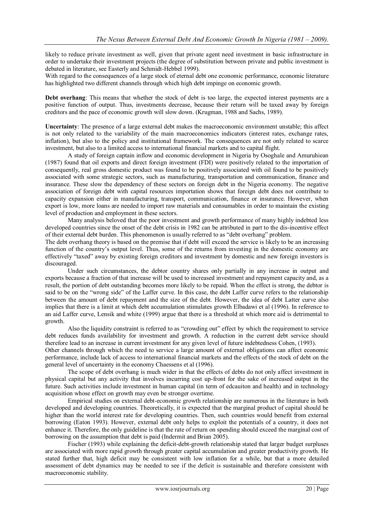likely to reduce private investment as well, given that private agent need investment in basic infrastructure in order to undertake their investment projects (the degree of substitution between private and public investment is debated in literature, see Easterly and Schmidt-Hebbel 1999).

With regard to the consequences of a large stock of eternal debt one economic performance, economic literature has highlighted two different channels through which high debt impinge on economic growth.

**Debt overhang**: This means that whether the stock of debt is too large, the expected interest payments are a positive function of output. Thus, investments decrease, because their return will be taxed away by foreign creditors and the pace of economic growth will slow down. (Krugman, 1988 and Sachs, 1989).

**Uncertainty**: The presence of a large external debt makes the macroeconomic environment unstable; this affect is not only related to the variability of the main macroeconomics indicators (interest rates, exchange rates, inflation), but also to the policy and institutional framework. The consequences are not only related to scarce investment, but also to a limited access to international financial markets and to capital flight.

A study of foreign captain inflow and economic development in Nigeria by Osoghale and Amuruhiean (1987) found that oil exports and direct foreign investment (FDI) were positively related to the importation of consequently, real gross domestic product was found to be positively associated with oil found to be positively associated with some strategic sectors, such as manufacturing, transportation and communication, finance and insurance. These slow the dependency of these sectors on foreign debt in the Nigeria economy. The negative association of foreign debt with capital resources importation shows that foreign debt does not contribute to capacity expansion either in manufacturing, transport, communication, finance or insurance. However, when export is low, more loans are needed to import raw materials and consumables in order to maintain the existing level of production and employment in these sectors.

Many analysis beloved that the poor investment and growth performance of many highly indebted less developed countries since the onset of the debt crisis in 1982 can be attributed in part to the dis-incentive effect of their external debt burden. This phenomenon is usually referred to as "debt overhang" problem.

The debt overhang theory is based on the premise that if debt will exceed the service is likely to be an increasing function of the country's output level. Thus, some of the returns from investing in the domestic economy are effectively "taxed" away by existing foreign creditors and investment by domestic and new foreign investors is discouraged.

Under such circumstances, the debtor country shares only partially in any increase in output and exports because a fraction of that increase will be used to increased investment and repayment capacity and, as a result, the portion of debt outstanding becomes more likely to be repaid. When the effect is strong, the debtor is said to be on the "wrong side" of the Laffer curve. In this case, the debt Laffer curve refers to the relationship between the amount of debt repayment and the size of the debt. However, the idea of debt Latter curve also implies that there is a limit at which debt accumulation stimulates growth Elbadawi et al (1996). In reference to an aid Laffer curve, Lensik and white (1999) argue that there is a threshold at which more aid is detrimental to growth.

Also the liquidity constraint is referred to as "crowding out" effect by which the requirement to service debt reduces funds availability for investment and growth. A reduction in the current debt service should therefore lead to an increase in current investment for any given level of future indebtedness Cohen, (1993).

Other channels through which the need to service a large amount of external obligations can affect economic performance, include lack of access to international financial markets and the effects of the stock of debt on the general level of uncertainty in the economy Chaessens et al (1996).

The scope of debt overhang is much wider in that the effects of debts do not only affect investment in physical capital but any activity that involves incurring cost up-front for the sake of increased output in the future. Such activities include investment in human capital (in term of edcauiton and health) and in technology acquisition whose effect on growth may even be stronger overtime.

Empirical studies on external debt-economic growth relationship are numerous in the literature in both developed and developing countries. Theoretically, it is expected that the marginal product of capital should be higher than the world interest rate for developing countries. Then, such countries would benefit from external borrowing (Eaton 1993). However, external debt only helps to exploit the potentials of a country, it does not enhance it. Therefore, the only guideline is that the rate of return on spending should exceed the marginal cost of borrowing on the assumption that debt is paid (Indermit and Brian 2005).

Fischer (1993) while explaining the deficit-debt-growth relationship stated that larger budget surpluses are associated with more rapid growth through greater capital accumulation and greater productivity growth. He stated further that, high deficit may be consistent with low inflation for a while, but that a more detailed assessment of debt dynamics may be needed to see if the deficit is sustainable and therefore consistent with macroeconomic stability.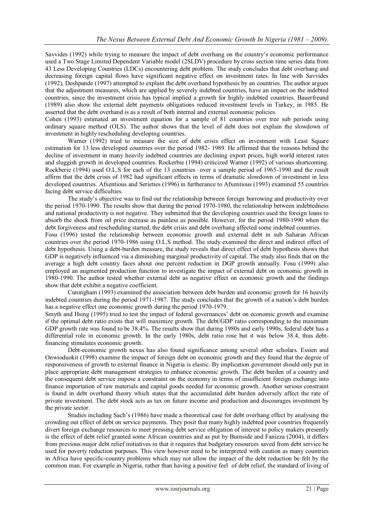Savvides (1992) while trying to measure the impact of debt overhang on the country's economic performance used a Two Stage Limited Dependent Variable model (2SLDV) procedure by cross section time series data from 43 Less Developing Countries (LDCs) encountering debt problem. The study concludes that debt overhang and decreasing foreign capital flows have significant negative effect on investment rates. In line with Savvides (1992), Deshpande (1997) attempted to explain the debt overhand hypothesis by an countries. The author argues that the adjustment measures, which are applied by severely indebted countries, have an impact on the indebted countries, since the investment crisis has typical implied a growth for highly indebted countries. Bauerfreund (1989) also show the external debt payments obligations reduced investment levels in Turkey, in 1985. He asserted that the debt overhand is as a result of both internal and external economic policies.

Cohen (1993) estimated an investment equation for a sample of 81 countries over tree sub periods using ordinary square method (OLS). The author shows that the level of debt does not explain the slowdown of investment in highly rescheduling developing countries.

Warner (1992) tried to measure the size of debt crisis effect on investment with Least Square estimation for 13 less developed countries over the period 1982- 1989. He affirmed that the reasons behind the decline of investment in many heavily indebted countries are declining export prices, high world interest rates and sluggish growth in developed countries. Rockerbie (1994) criticized Warner (1992) of various shortcoming. Rockberie (1994) used O.L.S for each of the 13 countries over a sample period of 1965-1990 and the result affirm that the debt crisis of 1982 had significant effects in terms of dramatic slowdown of investment in less developed countries. Afxentious and Serieties (1996) in furtherance to Afxentious (1993) examined 55 countries facing debt service difficulties.

The study's objective was to find out the relationship between foreign borrowing and productivity over the period 1970-1990. The results show that during the period 1970-1980, the relationship between indebtedness and national productivity is not negative. They submitted that the developing countries used the foreign loans to absorb the shock from oil price increase as painless as possible. However, for the period 1980-1990 when the debt forgiveness and rescheduling started, the debt crisis and debt overhang affected some indebted countries.

Fosu (1996) tested the relationship between economic growth and external debt in sub Saharan African countries over the period 1970-1986 using O.L.S method. The study examined the direct and indirect effect of debt hypothesis. Using a debt-burden measure, the study reveals that direct effect of debt hypothesis shows that GDP is negatively influenced via a diminishing marginal productivity of capital. The study also finds that on the average a high debt country faces about one percent reduction in DGP growth annually. Fosu (1999) also employed an augmented production function to investigate the impact of external debt on economic growth in 1980-1990. The author tested whether external debt as negative effect on economic growth and the findings show that debt exhibit a negative coefficient.

Cuningham (1993) examined the association between debt burden and economic growth for 16 heavily indebted countries during the period 1971-1987. The study concludes that the growth of a nation's debt burden has a negative effect one economic growth during the period 1970-1979.

Smyth and Hsing (1995) tried to test the impact of federal governances' debt on economic growth and examine if the optimal debt ratio exists that will maximize growth. The debt/GDP ratio corresponding to the maximum GDP growth rate was found to be 38.4%. The results show that during 1980s and early 1990s, federal debt has a differential role in economic growth. In the early 1980s, debt ratio rose but it was below 38.4, thus debtfinancing stimulates economic growth.

Debt-economic growth nexus has also found significance among several other scholars. Essien and Onwioduokit (1998) examine the impact of foreign debt on economic growth and they found that the degree of responsiveness of growth to external finance in Nigeria is elastic. By implication government should only put in place appropriate debt management strategies to enhance economic growth. The debt burden of a country and the consequent debt service impose a constraint on the economy in terms of insufficient foreign exchange into finance importation of raw materials and capital goods needed for economic growth. Another serious constraint is found in debt overhand theory which states that the accumulated debt burden adversely affect the rate of private investment. The debt stock acts as tax on future income and production and discourages investment by the private sector.

Studies including Sach's (1986) have made a theoretical case for debt overhang effect by analysing the crowding out effect of debt on service payments. They posit that many highly indebted poor countries frequently divert foreign exchange resources to meet pressing debt service obligation of interest to policy makers presently is the effect of debt relief granted some African countries and as put by Burnside and Fanizza (2004), it differs from previous major debt relief initiatives in that it requires that budgetary resources saved from debt service be used for poverty reduction purposes. This view however need to be interpreted with caution as many countries in Africa have specific-country problems which may not allow the impact of the debt reduction be felt by the common man. For example in Nigeria, rather than having a positive feel of debt relief, the standard of living of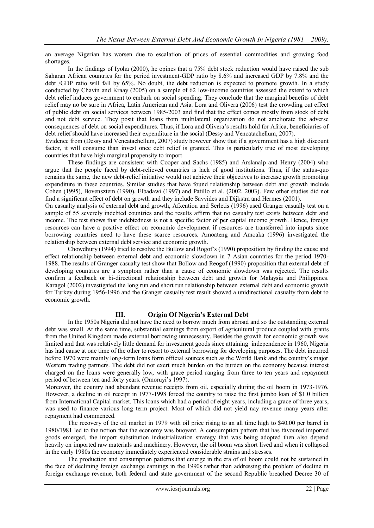an average Nigerian has worsen due to escalation of prices of essential commodities and growing food shortages.

In the findings of Iyoha (2000), he opines that a 75% debt stock reduction would have raised the sub Saharan African countries for the period investment-GDP ratio by 8.6% and increased GDP by 7.8% and the debt /GDP ratio will fall by 65%. No doubt, the debt reduction is expected to promote growth. In a study conducted by Chavin and Kraay (2005) on a sample of 62 low-income countries assessed the extent to which debt relief induces government to embark on social spending. They conclude that the marginal benefits of debt relief may no be sure in Africa, Latin American and Asia. Lora and Olivera (2006) test the crowding out effect of public debt on social services between 1985-2003 and find that the effect comes mostly from stock of debt and not debt service. They posit that loans from multilateral organization do not ameliorate the adverse consequences of debt on social expenditures. Thus, if Lora and Olivera's results hold for Africa, beneficiaries of debt relief should have increased their expenditure in the social (Dessy and Vencatachellum, 2007).

Evidence from (Dessy and Vencatachellum, 2007) study however show that if a government has a high discount factor, it will consume than invest once debt relief is granted. This is particularly true of most developing countries that have high marginal propensity to import.

These findings are consistent with Cooper and Sachs (1985) and Arslanalp and Henry (2004) who argue that the people faced by debt-relieved countries is lack of good institutions. Thus, if the status-quo remains the same, the new debt-relief initiative would not achieve their objectives to increase growth promoting expenditure in these countries. Similar studies that have found relationship between debt and growth include Cohen (1995), Bovensztem (1990), Elbadawi (1997) and Patillo et al. (2002, 2003). Few other studies did not find a significant effect of debt on growth and they include Savvides and Dijkstra and Hermes (2001).

On casualty analysis of external debt and growth, Afxentiou and Serletis (1996) used Granger casually test on a sample of 55 severely indebted countries and the results affirm that no casualty test exists between debt and income. The test shows that indebtedness is not a specific factor of per capital income growth. Hence, foreign resources can have a positive effect on economic development if resources are transferred into inputs since borrowing countries need to have these scarce resources. Amoateng and Amoaka (1996) investigated the relationship between external debt service and economic growth.

Chowdhury (1994) tried to resolve the Bullow and Rogof's (1990) proposition by finding the cause and effect relationship between external debt and economic slowdown in 7 Asian countries for the period 1970- 1988. The results of Granger casualty test show that Bollow and Reogof (1990) proposition that external debt of developing countries are a symptom rather than a cause of economic slowdown was rejected. The results confirm a feedback or bi-directional relationship between debt and growth for Malaysia and Philippines. Karagol (2002) investigated the long run and short run relationship between external debt and economic growth for Turkey during 1956-1996 and the Granger casualty test result showed a unidirectional casualty from debt to economic growth.

# **III. Origin Of Nigeria's External Debt**

In the 1950s Nigeria did not have the need to borrow much from abroad and so the outstanding external debt was small. At the same time, substantial earnings from export of agricultural produce coupled with grants from the United Kingdom made external borrowing unnecessary. Besides the growth for economic growth was limited and that was relatively little demand for investment goods since attaining independence in 1960, Nigeria has had cause at one time of the other to resort to external borrowing for developing purposes. The debt incurred before 1970 were mainly long-term loans form official sources such as the World Bank and the country's major Western trading partners. The debt did not exert much burden on the burden on the economy because interest charged on the loans were generally low, with grace period ranging from three to ten years and repayment period of between ten and forty years. (Omoruyi's 1997).

Moreover, the country had abundant revenue receipts from oil, especially during the oil boom in 1973-1976. However, a decline in oil receipt in 1977-1998 forced the country to raise the first jumbo loan of \$1.0 billion from International Capital market. This loans which had a period of eight years, including a grace of three years, was used to finance various long term project. Most of which did not yield nay revenue many years after repayment had commenced.

The recovery of the oil market in 1979 with oil price rising to an all time high to \$40.00 per barrel in 1980/1981 led to the notion that the economy was buoyant. A consumption pattern that has favoured imported goods emerged, the import substitution industrialization strategy that was being adopted then also depend heavily on imported raw materials and machinery. However, the oil boom was short lived and when it collapsed in the early 1980s the economy immediately experienced considerable strains and stresses.

The production and consumption patterns that emerge in the era of oil boom could not be sustained in the face of declining foreign exchange earnings in the 1990s rather than addressing the problem of decline in foreign exchange revenue, both federal and state government of the second Republic breached Decree 30 of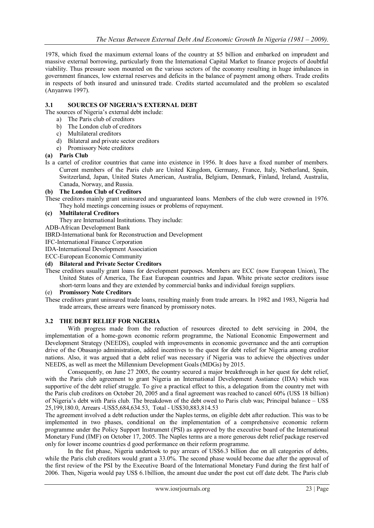1978, which fixed the maximum external loans of the country at \$5 billion and embarked on imprudent and massive external borrowing, particularly from the International Capital Market to finance projects of doubtful viability. Thus pressure soon mounted on the various sectors of the economy resulting in huge imbalances in government finances, low external reserves and deficits in the balance of payment among others. Trade credits in respects of both insured and uninsured trade. Credits started accumulated and the problem so escalated (Anyanwu 1997).

# **3.1 SOURCES OF NIGERIA'S EXTERNAL DEBT**

The sources of Nigeria's external debt include:

- a) The Paris club of creditors
- b) The London club of creditors
- c) Multilateral creditors
- d) Bilateral and private sector creditors
- e) Promissory Note creditors

# **(a) Paris Club**

Is a cartel of creditor countries that came into existence in 1956. It does have a fixed number of members. Current members of the Paris club are United Kingdom, Germany, France, Italy, Netherland, Spain, Switzerland, Japan, United States American, Australia, Belgium, Denmark, Finland, Ireland, Australia, Canada, Norway, and Russia.

# **(b) The London Club of Creditors**

These creditors mainly grant uninsured and unguaranteed loans. Members of the club were crowned in 1976. They hold meetings concerning issues or problems of repayment.

# **(c) Multilateral Creditors**

They are International Institutions. They include:

ADB-African Development Bank

IBRD-International bank for Reconstruction and Development

IFC-International Finance Corporation

IDA-International Development Association

ECC-European Economic Community

### **(d) Bilateral and Private Sector Creditors**

These creditors usually grant loans for development purposes. Members are ECC (now European Union), The United States of America, The East European countries and Japan. White private sector creditors issue short-term loans and they are extended by commercial banks and individual foreign suppliers.

# (e) **Promissory Note Creditors**

These creditors grant uninsured trade loans, resulting mainly from trade arrears. In 1982 and 1983, Nigeria had trade arrears, these arrears were financed by promissory notes.

# **3.2 THE DEBT RELIEF FOR NIGERIA**

With progress made from the reduction of resources directed to debt servicing in 2004, the implementation of a home-gown economic reform programme, the National Economic Empowerment and Development Strategy (NEEDS), coupled with improvements in economic governance and the anti corruption drive of the Obasanjo administration, added incentives to the quest for debt relief for Nigeria among creditor nations. Also, it was argued that a debt relief was necessary if Nigeria was to achieve the objectives under NEEDS, as well as meet the Millennium Development Goals (MDGs) by 2015.

Consequently, on June 27 2005, the country secured a major breakthrough in her quest for debt relief, with the Paris club agreement to grant Nigeria an International Development Asstiance (IDA) which was supportive of the debt relief struggle. To give a practical effect to this, a delegation from the country met with the Paris club creditors on October 20, 2005 and a final agreement was reached to cancel 60% (US\$ 18 billion) of Nigeria's debt with Paris club. The breakdown of the debt owed to Paris club was; Principal balance – US\$ 25,199,180.0, Arrears -US\$5,684,634.53, Total - US\$30,883,814.53

The agreement involved a debt reduction under the Naples terms, on eligible debt after reduction. This was to be implemented in two phases, conditional on the implementation of a comprehensive economic reform programme under the Policy Support Instrument (PSI) as approved by the executive board of the International Monetary Fund (IMF) on October 17, 2005. The Naples terms are a more generous debt relief package reserved only for lower income countries d good performance on their reform programme.

In the fist phase, Nigeria undertook to pay arrears of US\$6.3 billion due on all categories of debts, while the Paris club creditors would grant a 33.0%. The second phase would become due after the approval of the first review of the PSI by the Executive Board of the International Monetary Fund during the first half of 2006. Then, Nigeria would pay US\$ 6.1billion, the amount due under the post cut off date debt. The Paris club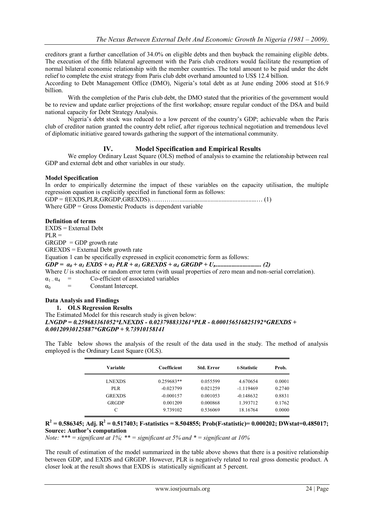creditors grant a further cancellation of 34.0% on eligible debts and then buyback the remaining eligible debts. The execution of the fifth bilateral agreement with the Paris club creditors would facilitate the resumption of normal bilateral economic relationship with the member countries. The total amount to be paid under the debt relief to complete the exist strategy from Paris club debt overhand amounted to US\$ 12.4 billion.

According to Debt Management Office (DMO), Nigeria's total debt as at June ending 2006 stood at \$16.9 billion.

With the completion of the Paris club debt, the DMO stated that the priorities of the government would be to review and update earlier projections of the first workshop; ensure regular conduct of the DSA and build national capacity for Debt Strategy Analysis.

Nigeria's debt stock was reduced to a low percent of the country's GDP; achievable when the Paris club of creditor nation granted the country debt relief, after rigorous technical negotiation and tremendous level of diplomatic initiative geared towards gathering the support of the international community.

# **IV. Model Specification and Empirical Results**

We employ Ordinary Least Square (OLS) method of analysis to examine the relationship between real GDP and external debt and other variables in our study.

### **Model Specification**

In order to empirically determine the impact of these variables on the capacity utilisation, the multiple regression equation is explicitly specified in functional form as follows:

GDP = f(EXDS,PLR,GRGDP,GREXDS)……………................................................… (1) Where GDP = Gross Domestic Products is dependent variable

#### **Definition of terms**

EXDS = External Debt  $PLR =$  $GRGDP = GDP$  growth rate GREXDS = External Debt growth rate Equation 1 can be specifically expressed in explicit econometric form as follows: *GDP = α<sup>0</sup> + α<sup>1</sup> EXDS + α<sup>2</sup> PLR + α<sup>3</sup> GREXDS + α<sup>4</sup> GRGDP + U<sup>t</sup> .............................. (2)* Where *U* is stochastic or random error term (with usual properties of zero mean and non-serial correlation).  $\alpha_1 \cdot \alpha_4 =$  Co-efficient of associated variables<br>  $\alpha_2 =$  Constant Intercent  $\alpha_0$  = Constant Intercept.

# **Data Analysis and Findings**

**1. OLS Regression Results** The Estimated Model for this research study is given below: *LNGDP = 0.259683361052\*LNEXDS - 0.023798833261\*PLR - 0.000156516825192\*GREXDS + 0.00120930125887\*GRGDP + 9.73910158141*

| Variable      | Coefficient  | <b>Std. Error</b> | t-Statistic | Prob.  |
|---------------|--------------|-------------------|-------------|--------|
| <b>LNEXDS</b> | $0.259683**$ | 0.055599          | 4.670654    | 0.0001 |
| PLR.          | $-0.023799$  | 0.021259          | $-1.119469$ | 0.2740 |
| <b>GREXDS</b> | $-0.000157$  | 0.001053          | $-0.148632$ | 0.8831 |
| GRGDP         | 0.001209     | 0.000868          | 1.393712    | 0.1762 |
|               | 9.739102     | 0.536069          | 18.16764    | 0.0000 |

The Table below shows the analysis of the result of the data used in the study. The method of analysis employed is the Ordinary Least Square (OLS).

 $R^2 = 0.586345$ ; Adj.  $R^2 = 0.517403$ ; F-statistics = 8.504855; Prob(F-statistic)= 0.000202; DWstat=0.485017; **Source: Author's computation**

*Note: \*\*\* = significant at 1%; \*\* = significant at 5% and \* = significant at 10%*

The result of estimation of the model summarized in the table above shows that there is a positive relationship between GDP, and EXDS and GRGDP. However, PLR is negatively related to real gross domestic product. A closer look at the result shows that EXDS is statistically significant at 5 percent.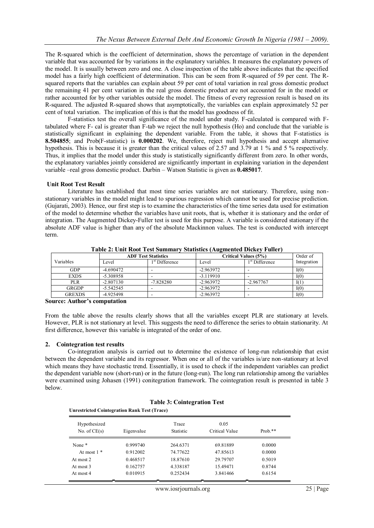The R-squared which is the coefficient of determination, shows the percentage of variation in the dependent variable that was accounted for by variations in the explanatory variables. It measures the explanatory powers of the model. It is usually between zero and one. A close inspection of the table above indicates that the specified model has a fairly high coefficient of determination. This can be seen from R-squared of 59 per cent. The Rsquared reports that the variables can explain about 59 per cent of total variation in real gross domestic product the remaining 41 per cent variation in the real gross domestic product are not accounted for in the model or rather accounted for by other variables outside the model. The fitness of every regression result is based on its R-squared. The adjusted R-squared shows that asymptotically, the variables can explain approximately 52 per cent of total variation. The implication of this is that the model has goodness of fit.

F-statistics test the overall significance of the model under study. F-calculated is compared with Ftabulated where F- cal is greater than F-tab we reject the null hypothesis (Ho) and conclude that the variable is statistically significant in explaining the dependent variable. From the table, it shows that F-statistics is **8.504855**; and Prob(F-statistic) is **0.000202**. We, therefore, reject null hypothesis and accept alternative hypothesis. This is because it is greater than the critical values of 2.57 and 3.79 at 1 % and 5 % respectively. Thus, it implies that the model under this study is statistically significantly different from zero. In other words, the explanatory variables jointly considered are significantly important in explaining variation in the dependent variable –real gross domestic product. Durbin – Watson Statistic is given as **0.485017**.

# **Unit Root Test Result**

Literature has established that most time series variables are not stationary. Therefore, using nonstationary variables in the model might lead to spurious regression which cannot be used for precise prediction. (Gujarati, 2003). Hence, our first step is to examine the characteristics of the time series data used for estimation of the model to determine whether the variables have unit roots, that is, whether it is stationary and the order of integration. The Augmented Dickey-Fuller test is used for this purpose. A variable is considered stationary if the absolute ADF value is higher than any of the absolute Mackinnon values. The test is conducted with intercept term.

|               | <b>ADF Test Statistics</b> |                            | Critical Values (5%) |                  | Order of    |
|---------------|----------------------------|----------------------------|----------------------|------------------|-------------|
| Variables     | Level                      | 1 <sup>st</sup> Difference | Level                | $1st$ Difference | Integration |
| GDP           | -4.690472                  |                            | $-2.963972$          |                  | I(0)        |
| <b>EXDS</b>   | $-5.308958$                |                            | $-3.119910$          |                  | I(0)        |
| <b>PLR</b>    | $-2.807130$                | $-7.828280$                | $-2.963972$          | $-2.967767$      | I(1)        |
| <b>GRGDP</b>  | $-5.542545$                |                            | $-2.963972$          |                  | I(0)        |
| <b>GREXDS</b> | -4.925498                  |                            | $-2.963972$          | -                | I(0)        |

**Table 2: Unit Root Test Summary Statistics (Augmented Dickey Fuller)**

**Source: Author's computation** 

From the table above the results clearly shows that all the variables except PLR are stationary at levels. However, PLR is not stationary at level. This suggests the need to difference the series to obtain stationarity. At first difference, however this variable is integrated of the order of one.

# **2. Cointegration test results**

Co-integration analysis is carried out to determine the existence of long-run relationship that exist between the dependent variable and its regressor. When one or all of the variables is/are non-stationary at level which means they have stochastic trend. Essentially, it is used to check if the independent variables can predict the dependent variable now (short-run) or in the future (long-run). The long run relationship among the variables were examined using Johasen (1991) conitegration framework. The cointegration result is presented in table 3 below.

**Table 3: Cointegration Test**

| Table 5: Cointegration Test<br><b>Unrestricted Cointegration Rank Test (Trace)</b> |            |                           |                        |           |  |
|------------------------------------------------------------------------------------|------------|---------------------------|------------------------|-----------|--|
| Hypothesized<br>No. of $CE(s)$                                                     | Eigenvalue | Trace<br><b>Statistic</b> | 0.05<br>Critical Value | $Prob.**$ |  |
| None <sup>*</sup>                                                                  | 0.999740   | 264.6371                  | 69.81889               | 0.0000    |  |
| At most $1$ *                                                                      | 0.912002   | 74.77622                  | 47.85613               | 0.0000    |  |
| At most 2                                                                          | 0.468517   | 18.87610                  | 29.79707               | 0.5019    |  |
| At most 3                                                                          | 0.162757   | 4.338187                  | 15.49471               | 0.8744    |  |
| At most 4                                                                          | 0.010915   | 0.252434                  | 3.841466               | 0.6154    |  |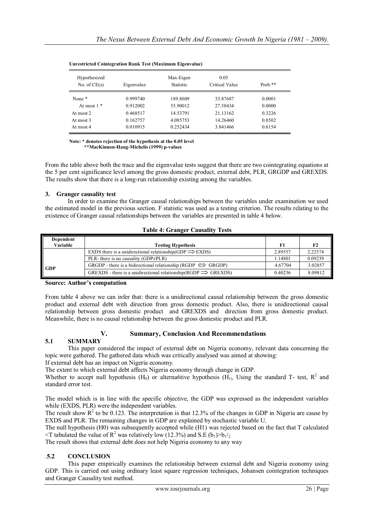| Hypothesized<br>No. of $CE(s)$ | Eigenvalue | Max-Eigen<br><b>Statistic</b> | 0.05<br>Critical Value | Prob. $**$ |
|--------------------------------|------------|-------------------------------|------------------------|------------|
| None <sup>*</sup>              | 0.999740   | 189.8609                      | 33.87687               | 0.0001     |
| At most $1 *$                  | 0.912002   | 55.90012                      | 27.58434               | 0.0000     |
| At most 2                      | 0.468517   | 14.53791                      | 21.13162               | 0.3226     |
| At most 3                      | 0.162757   | 4.085753                      | 14.26460               | 0.8502     |
| At most 4                      | 0.010915   | 0.252434                      | 3.841466               | 0.6154     |

#### **Unrestricted Cointegration Rank Test (Maximum Eigenvalue)**

**Note: \* denotes rejection of the hypothesis at the 0.05 level**

 **\*\*MacKinnon-Haug-Michelis (1999) p-values**

From the table above both the trace and the eigenvalue tests suggest that there are two cointegrating equations at the 5 per cent significance level among the gross domestic product, external debt, PLR, GRGDP and GREXDS. The results show that there is a long-run relationship existing among the variables.

# **3. Granger causality test**

In order to examine the Granger causal relationships between the variables under examination we used the estimated model in the previous section. F statistic was used as a testing criterion. The results relating to the existence of Granger causal relationships between the variables are presented in table 4 below.

# **Table 4: Granger Causality Tests**

| Dependent |                                                                          |         |                |
|-----------|--------------------------------------------------------------------------|---------|----------------|
| Variable  | <b>Testing Hypothesis</b>                                                | F1      | F <sub>2</sub> |
|           | EXDS there is a unidirectional relationship(GDP $\Rightarrow$ EXDS)      | 2.89557 | 2.22574        |
|           | PLR- there is no causality (GDP $\neq$ PLR)                              | 1.14801 | 0.09239        |
| GDP       | GRGDP - there is a bidirectional relationship (RGDP $\iff$ GRGDP)        | 4.67704 | 3.02857        |
|           | GREXDS - there is a unidirectional relationship $(RGDP \implies GREXDS)$ | 0.40236 | 8.09812        |

**Source: Author's computation** 

From table 4 above we can infer that: there is a unidirectional causal relationship between the gross domestic product and external debt with direction from gross domestic product. Also, there is unidirectional causal relationship between gross domestic product and GREXDS and direction from gross domestic product. Meanwhile, there is no causal relationship between the gross domestic product and PLR.

# **V. Summary, Conclusion And Recommendations**

# **5.1 SUMMARY**

This paper considered the impact of external debt on Nigeria economy, relevant data concerning the topic were gathered. The gathered data which was critically analysed was aimed at showing:

If external debt has an impact on Nigeria economy.

The extent to which external debt affects Nigeria economy through change in GDP.

Whether to accept null hypothesis (H<sub>0</sub>) or alterna6tive hypothesis (H<sub>1)</sub>, Using the standard T- test,  $R^2$  and standard error test.

The model which is in line with the specific objective, the GDP was expressed as the independent variables while (EXDS, PLR) were the independent variables.

The result show  $R^2$  to be 0.123. The interpretation is that 12.3% of the changes in GDP in Nigeria are cause by EXDS and PLR. The remaining changes in GDP are explained by stochastic variable U.

The null hypothesis (H0) was subsequently accepted while (H1) was rejected based on the fact that T calculated  $\leq$ T tabulated the value of R<sup>2</sup> was relatively low (12.3%) and S.E (b<sub>1</sub>)>b<sub>1</sub>/<sub>2</sub>.

The result shows that external debt does not help Nigeria economy to any way

# .**5.2 CONCLUSION**

This paper empirically examines the relationship between external debt and Nigeria economy using GDP. This is carried out using ordinary least square regression techniques, Johansen cointegration techniques and Granger Causality test method.